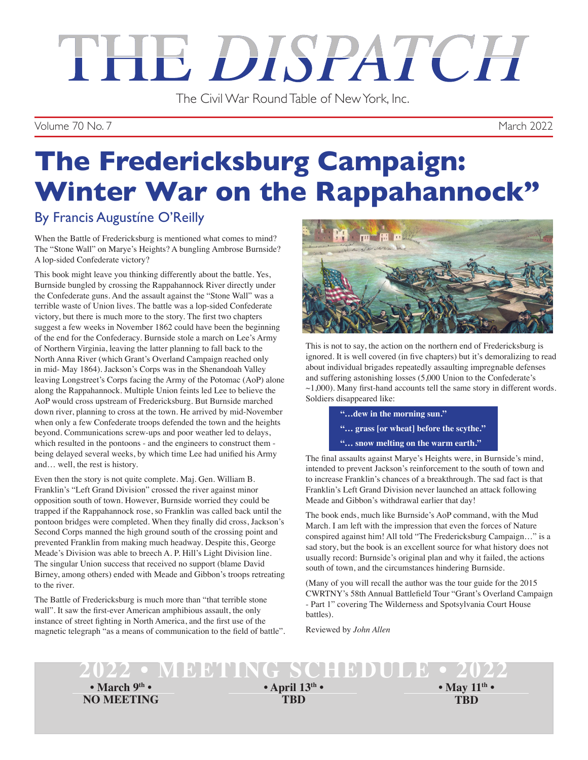# THE DISPATCH

The Civil War Round Table of New York, Inc.

Volume 70 No. 7 March 2022

## **The Fredericksburg Campaign: Winter War on the Rappahannock"**

## By Francis Augustíne O'Reilly

When the Battle of Fredericksburg is mentioned what comes to mind? The "Stone Wall" on Marye's Heights? A bungling Ambrose Burnside? A lop-sided Confederate victory?

This book might leave you thinking differently about the battle. Yes, Burnside bungled by crossing the Rappahannock River directly under the Confederate guns. And the assault against the "Stone Wall" was a terrible waste of Union lives. The battle was a lop-sided Confederate victory, but there is much more to the story. The first two chapters suggest a few weeks in November 1862 could have been the beginning of the end for the Confederacy. Burnside stole a march on Lee's Army of Northern Virginia, leaving the latter planning to fall back to the North Anna River (which Grant's Overland Campaign reached only in mid- May 1864). Jackson's Corps was in the Shenandoah Valley leaving Longstreet's Corps facing the Army of the Potomac (AoP) alone along the Rappahannock. Multiple Union feints led Lee to believe the AoP would cross upstream of Fredericksburg. But Burnside marched down river, planning to cross at the town. He arrived by mid-November when only a few Confederate troops defended the town and the heights beyond. Communications screw-ups and poor weather led to delays, which resulted in the pontoons - and the engineers to construct them being delayed several weeks, by which time Lee had unified his Army and… well, the rest is history.

Even then the story is not quite complete. Maj. Gen. William B. Franklin's "Left Grand Division" crossed the river against minor opposition south of town. However, Burnside worried they could be trapped if the Rappahannock rose, so Franklin was called back until the pontoon bridges were completed. When they finally did cross, Jackson's Second Corps manned the high ground south of the crossing point and prevented Franklin from making much headway. Despite this, George Meade's Division was able to breech A. P. Hill's Light Division line. The singular Union success that received no support (blame David Birney, among others) ended with Meade and Gibbon's troops retreating to the river.

The Battle of Fredericksburg is much more than "that terrible stone wall". It saw the first-ever American amphibious assault, the only instance of street fighting in North America, and the first use of the magnetic telegraph "as a means of communication to the field of battle".



This is not to say, the action on the northern end of Fredericksburg is ignored. It is well covered (in five chapters) but it's demoralizing to read about individual brigades repeatedly assaulting impregnable defenses and suffering astonishing losses (5,000 Union to the Confederate's  $\sim$ 1,000). Many first-hand accounts tell the same story in different words. Soldiers disappeared like:

**"…dew in the morning sun."**

- **"… grass [or wheat] before the scythe."**
- **"… snow melting on the warm earth."**

The final assaults against Marye's Heights were, in Burnside's mind, intended to prevent Jackson's reinforcement to the south of town and to increase Franklin's chances of a breakthrough. The sad fact is that Franklin's Left Grand Division never launched an attack following Meade and Gibbon's withdrawal earlier that day!

The book ends, much like Burnside's AoP command, with the Mud March. I am left with the impression that even the forces of Nature conspired against him! All told "The Fredericksburg Campaign…" is a sad story, but the book is an excellent source for what history does not usually record: Burnside's original plan and why it failed, the actions south of town, and the circumstances hindering Burnside.

(Many of you will recall the author was the tour guide for the 2015 CWRTNY's 58th Annual Battlefield Tour "Grant's Overland Campaign - Part 1" covering The Wilderness and Spotsylvania Court House battles).

Reviewed by *John Allen*

### **2022 • MEETING SCHEDULE • 2022 • March 9th •**

**NO MEETING**

**• April 13th •**

**TBD TBD • May 11th •**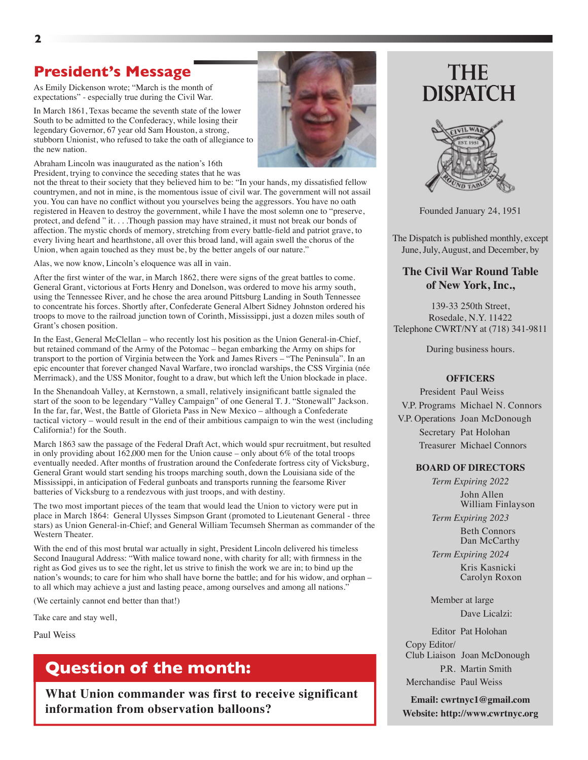## **President's Message**

As Emily Dickenson wrote; "March is the month of expectations" - especially true during the Civil War.

In March 1861, Texas became the seventh state of the lower South to be admitted to the Confederacy, while losing their legendary Governor, 67 year old Sam Houston, a strong, stubborn Unionist, who refused to take the oath of allegiance to the new nation.

Abraham Lincoln was inaugurated as the nation's 16th President, trying to convince the seceding states that he was

not the threat to their society that they believed him to be: "In your hands, my dissatisfied fellow countrymen, and not in mine, is the momentous issue of civil war. The government will not assail you. You can have no conflict without you yourselves being the aggressors. You have no oath registered in Heaven to destroy the government, while I have the most solemn one to "preserve, protect, and defend " it. . . .Though passion may have strained, it must not break our bonds of affection. The mystic chords of memory, stretching from every battle-field and patriot grave, to every living heart and hearthstone, all over this broad land, will again swell the chorus of the Union, when again touched as they must be, by the better angels of our nature."

Alas, we now know, Lincoln's eloquence was alI in vain.

After the first winter of the war, in March 1862, there were signs of the great battles to come. General Grant, victorious at Forts Henry and Donelson, was ordered to move his army south, using the Tennessee River, and he chose the area around Pittsburg Landing in South Tennessee to concentrate his forces. Shortly after, Confederate General Albert Sidney Johnston ordered his troops to move to the railroad junction town of Corinth, Mississippi, just a dozen miles south of Grant's chosen position.

In the East, General McClellan – who recently lost his position as the Union General-in-Chief, but retained command of the Army of the Potomac – began embarking the Army on ships for transport to the portion of Virginia between the York and James Rivers – "The Peninsula". In an epic encounter that forever changed Naval Warfare, two ironclad warships, the CSS Virginia (née Merrimack), and the USS Monitor, fought to a draw, but which left the Union blockade in place.

In the Shenandoah Valley, at Kernstown, a small, relatively insignificant battle signaled the start of the soon to be legendary "Valley Campaign" of one General T. J. "Stonewall" Jackson. In the far, far, West, the Battle of Glorieta Pass in New Mexico – although a Confederate tactical victory – would result in the end of their ambitious campaign to win the west (including California!) for the South.

March 1863 saw the passage of the Federal Draft Act, which would spur recruitment, but resulted in only providing about 162,000 men for the Union cause – only about 6% of the total troops eventually needed. After months of frustration around the Confederate fortress city of Vicksburg, General Grant would start sending his troops marching south, down the Louisiana side of the Mississippi, in anticipation of Federal gunboats and transports running the fearsome River batteries of Vicksburg to a rendezvous with just troops, and with destiny.

The two most important pieces of the team that would lead the Union to victory were put in place in March 1864: General Ulysses Simpson Grant (promoted to Lieutenant General - three stars) as Union General-in-Chief; and General William Tecumseh Sherman as commander of the Western Theater.

With the end of this most brutal war actually in sight, President Lincoln delivered his timeless Second Inaugural Address: "With malice toward none, with charity for all; with firmness in the right as God gives us to see the right, let us strive to finish the work we are in; to bind up the nation's wounds; to care for him who shall have borne the battle; and for his widow, and orphan – to all which may achieve a just and lasting peace, among ourselves and among all nations."

(We certainly cannot end better than that!)

Take care and stay well,

Paul Weiss

## **Question of the month:**

**What Union commander was first to receive significant information from observation balloons?**

## **THE DISPATCH**



Founded January 24, 1951

The Dispatch is published monthly, except June, July, August, and December, by

#### **The Civil War Round Table of New York, Inc.,**

139-33 250th Street, Rosedale, N.Y. 11422 Telephone CWRT/NY at (718) 341-9811

During business hours.

#### **OFFICERS**

 President Paul Weiss V.P. Programs Michael N. Connors V.P. Operations Joan McDonough Secretary Pat Holohan Treasurer Michael Connors

#### **BOARD OF DIRECTORS**

*Term Expiring 2022* John Allen William Finlayson

*Term Expiring 2023* Beth Connors

 Dan McCarthy *Term Expiring 2024*

> Kris Kasnicki Carolyn Roxon

 Member at large Dave Licalzi:

 Editor Pat Holohan Copy Editor/ Club Liaison Joan McDonough P.R. Martin Smith Merchandise Paul Weiss

**Email: cwrtnyc1@gmail.com Website: http://www.cwrtnyc.org**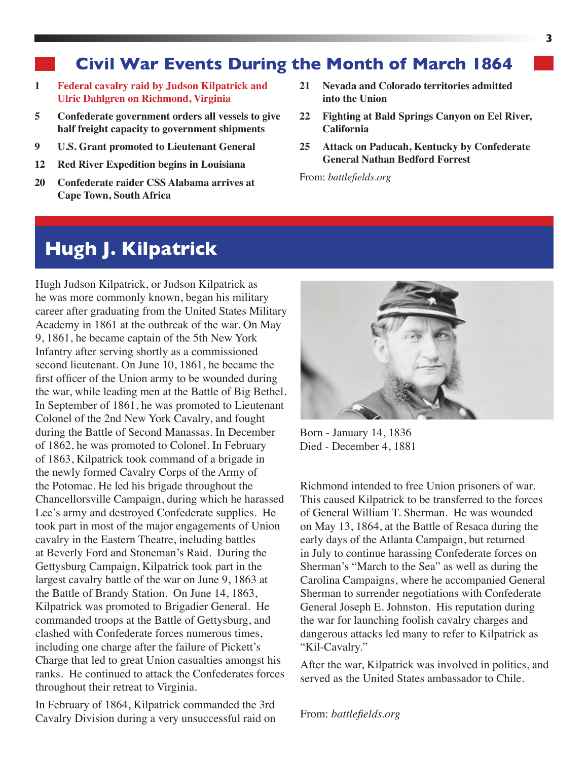## **Civil War Events During the Month of March 1864**

- **1 Federal cavalry raid by Judson Kilpatrick and Ulric Dahlgren on Richmond, Virginia**
- **5 Confederate government orders all vessels to give half freight capacity to government shipments**
- **9 U.S. Grant promoted to Lieutenant General**
- **12 Red River Expedition begins in Louisiana**
- **20 Confederate raider CSS Alabama arrives at Cape Town, South Africa**
- **21 Nevada and Colorado territories admitted into the Union**
- **22 Fighting at Bald Springs Canyon on Eel River, California**
- **25 Attack on Paducah, Kentucky by Confederate General Nathan Bedford Forrest**

From: *battlefields.org*

## **Hugh J. Kilpatrick**

Hugh Judson Kilpatrick, or Judson Kilpatrick as he was more commonly known, began his military career after graduating from the United States Military Academy in 1861 at the outbreak of the war. On May 9, 1861, he became captain of the 5th New York Infantry after serving shortly as a commissioned second lieutenant. On June 10, 1861, he became the first officer of the Union army to be wounded during the war, while leading men at the Battle of Big Bethel. In September of 1861, he was promoted to Lieutenant Colonel of the 2nd New York Cavalry, and fought during the Battle of Second Manassas. In December of 1862, he was promoted to Colonel. In February of 1863, Kilpatrick took command of a brigade in the newly formed Cavalry Corps of the Army of the Potomac. He led his brigade throughout the Chancellorsville Campaign, during which he harassed Lee's army and destroyed Confederate supplies. He took part in most of the major engagements of Union cavalry in the Eastern Theatre, including battles at Beverly Ford and Stoneman's Raid. During the Gettysburg Campaign, Kilpatrick took part in the largest cavalry battle of the war on June 9, 1863 at the Battle of Brandy Station. On June 14, 1863, Kilpatrick was promoted to Brigadier General. He commanded troops at the Battle of Gettysburg, and clashed with Confederate forces numerous times, including one charge after the failure of Pickett's Charge that led to great Union casualties amongst his ranks. He continued to attack the Confederates forces throughout their retreat to Virginia.

In February of 1864, Kilpatrick commanded the 3rd Cavalry Division during a very unsuccessful raid on



Born - January 14, 1836 Died - December 4, 1881

Richmond intended to free Union prisoners of war. This caused Kilpatrick to be transferred to the forces of General William T. Sherman. He was wounded on May 13, 1864, at the Battle of Resaca during the early days of the Atlanta Campaign, but returned in July to continue harassing Confederate forces on Sherman's "March to the Sea" as well as during the Carolina Campaigns, where he accompanied General Sherman to surrender negotiations with Confederate General Joseph E. Johnston. His reputation during the war for launching foolish cavalry charges and dangerous attacks led many to refer to Kilpatrick as "Kil-Cavalry."

After the war, Kilpatrick was involved in politics, and served as the United States ambassador to Chile.

From: *battlefields.org*